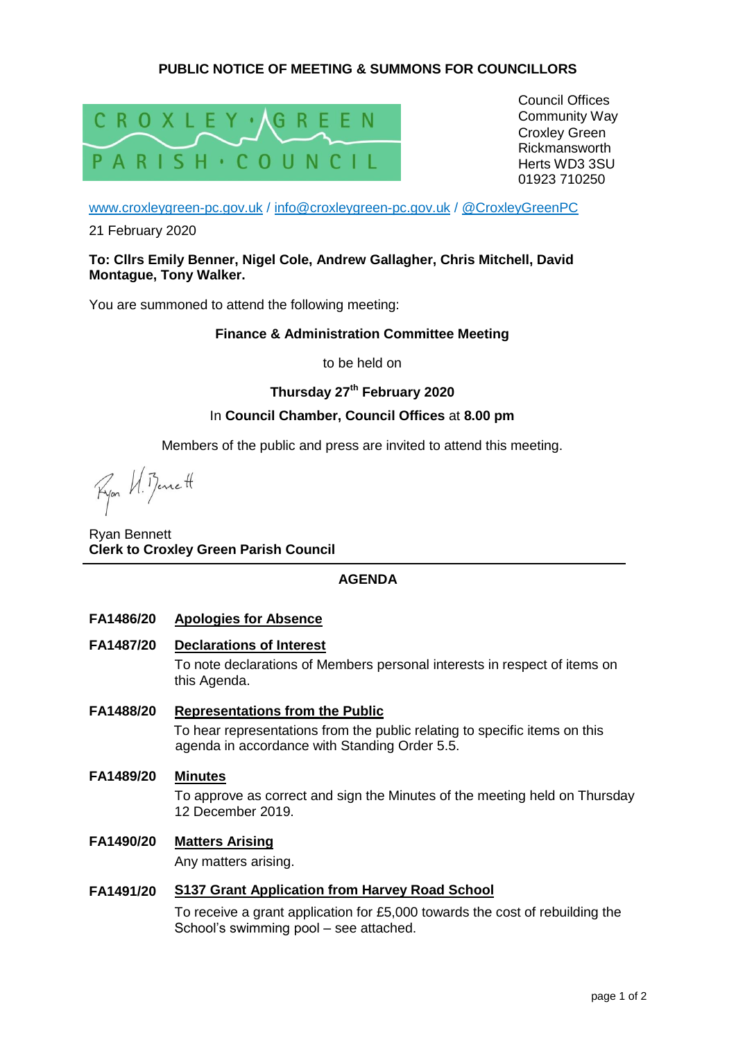# **PUBLIC NOTICE OF MEETING & SUMMONS FOR COUNCILLORS**



Council Offices Community Way Croxley Green Rickmansworth Herts WD3 3SU 01923 710250

[www.croxleygreen-pc.gov.uk](http://www.croxleygreen-pc.gov.uk/) / [info@croxleygreen-pc.gov.uk](mailto:info@croxleygreen-pc.gov.uk) / [@CroxleyGreenPC](https://twitter.com/CroxleyGreenPC)

21 February 2020

### **To: Cllrs Emily Benner, Nigel Cole, Andrew Gallagher, Chris Mitchell, David Montague, Tony Walker.**

You are summoned to attend the following meeting:

### **Finance & Administration Committee Meeting**

to be held on

# **Thursday 27th February 2020**

# In **Council Chamber, Council Offices** at **8.00 pm**

Members of the public and press are invited to attend this meeting.

Ryon VI. Benett

Ryan Bennett **Clerk to Croxley Green Parish Council**

# **AGENDA**

### **FA1486/20 Apologies for Absence**

**FA1487/20 Declarations of Interest**

To note declarations of Members personal interests in respect of items on this Agenda.

- **FA1488/20 Representations from the Public**  To hear representations from the public relating to specific items on this agenda in accordance with Standing Order 5.5.
- **FA1489/20 Minutes** To approve as correct and sign the Minutes of the meeting held on Thursday 12 December 2019.
- **FA1490/20 Matters Arising**

Any matters arising.

# **FA1491/20 S137 Grant Application from Harvey Road School**

To receive a grant application for £5,000 towards the cost of rebuilding the School's swimming pool – see attached.